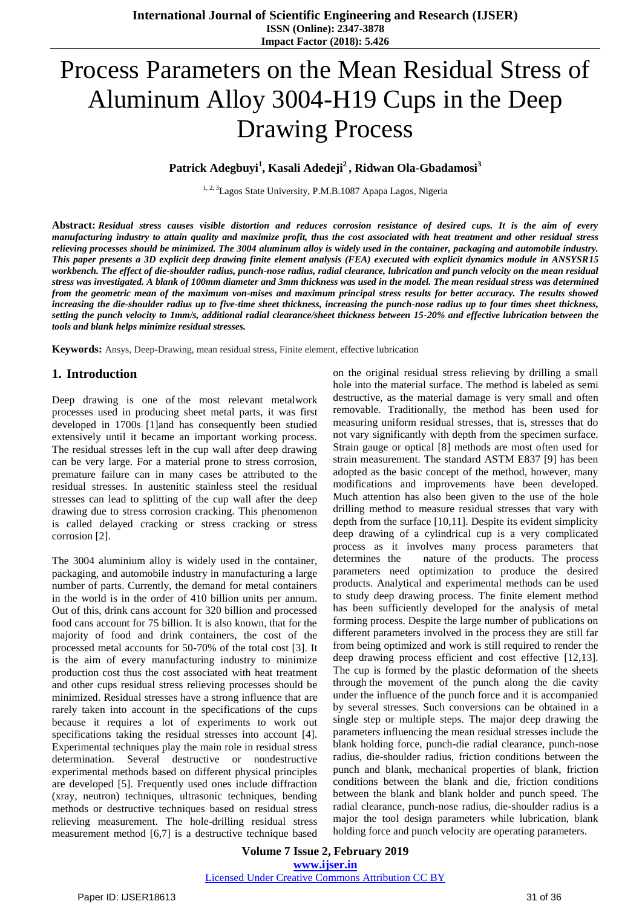# Process Parameters on the Mean Residual Stress of Aluminum Alloy 3004-H19 Cups in the Deep Drawing Process

**Patrick Adegbuyi<sup>1</sup> , Kasali Adedeji<sup>2</sup> , Ridwan Ola-Gbadamosi<sup>3</sup>**

<sup>1, 2, 3</sup>Lagos State University, P.M.B.1087 Apapa Lagos, Nigeria

**Abstract:** *Residual stress causes visible distortion and reduces corrosion resistance of desired cups. It is the aim of every manufacturing industry to attain quality and maximize profit, thus the cost associated with heat treatment and other residual stress relieving processes should be minimized. The 3004 aluminum alloy is widely used in the container, packaging and automobile industry. This paper presents a 3D explicit deep drawing finite element analysis (FEA) executed with explicit dynamics module in ANSYSR15 workbench. The effect of die-shoulder radius, punch-nose radius, radial clearance, lubrication and punch velocity on the mean residual stress was investigated. A blank of 100mm diameter and 3mm thickness was used in the model. The mean residual stress was determined from the geometric mean of the maximum von-mises and maximum principal stress results for better accuracy. The results showed increasing the die-shoulder radius up to five-time sheet thickness, increasing the punch-nose radius up to four times sheet thickness, setting the punch velocity to 1mm/s, additional radial clearance/sheet thickness between 15-20% and effective lubrication between the tools and blank helps minimize residual stresses.*

**Keywords:** Ansys, Deep-Drawing, mean residual stress, Finite element, effective lubrication

### **1. Introduction**

Deep drawing is one of the most relevant metalwork processes used in producing sheet metal parts, it was first developed in 1700s [1]and has consequently been studied extensively until it became an important working process. The residual stresses left in the cup wall after deep drawing can be very large. For a material prone to stress corrosion, premature failure can in many cases be attributed to the residual stresses. In austenitic stainless steel the residual stresses can lead to splitting of the cup wall after the deep drawing due to stress corrosion cracking. This phenomenon is called delayed cracking or stress cracking or stress corrosion [2].

The 3004 aluminium alloy is widely used in the container, packaging, and automobile industry in manufacturing a large number of parts. Currently, the demand for metal containers in the world is in the order of 410 billion units per annum. Out of this, drink cans account for 320 billion and processed food cans account for 75 billion. It is also known, that for the majority of food and drink containers, the cost of the processed metal accounts for 50-70% of the total cost [3]. It is the aim of every manufacturing industry to minimize production cost thus the cost associated with heat treatment and other cups residual stress relieving processes should be minimized. Residual stresses have a strong influence that are rarely taken into account in the specifications of the cups because it requires a lot of experiments to work out specifications taking the residual stresses into account [4]. Experimental techniques play the main role in residual stress determination. Several destructive or nondestructive experimental methods based on different physical principles are developed [5]. Frequently used ones include diffraction (xray, neutron) techniques, ultrasonic techniques, bending methods or destructive techniques based on residual stress relieving measurement. The hole-drilling residual stress measurement method [6,7] is a destructive technique based on the original residual stress relieving by drilling a small hole into the material surface. The method is labeled as semi destructive, as the material damage is very small and often removable. Traditionally, the method has been used for measuring uniform residual stresses, that is, stresses that do not vary significantly with depth from the specimen surface. Strain gauge or optical [8] methods are most often used for strain measurement. The standard ASTM E837 [9] has been adopted as the basic concept of the method, however, many modifications and improvements have been developed. Much attention has also been given to the use of the hole drilling method to measure residual stresses that vary with depth from the surface [10,11]. Despite its evident simplicity deep drawing of a cylindrical cup is a very complicated process as it involves many process parameters that determines the nature of the products. The process parameters need optimization to produce the desired products. Analytical and experimental methods can be used to study deep drawing process. The finite element method has been sufficiently developed for the analysis of metal forming process. Despite the large number of publications on different parameters involved in the process they are still far from being optimized and work is still required to render the deep drawing process efficient and cost effective [12,13]. The cup is formed by the plastic deformation of the sheets through the movement of the punch along the die cavity under the influence of the punch force and it is accompanied by several stresses. Such conversions can be obtained in a single step or multiple steps. The major deep drawing the parameters influencing the mean residual stresses include the blank holding force, punch-die radial clearance, punch-nose radius, die-shoulder radius, friction conditions between the punch and blank, mechanical properties of blank, friction conditions between the blank and die, friction conditions between the blank and blank holder and punch speed. The radial clearance, punch-nose radius, die-shoulder radius is a major the tool design parameters while lubrication, blank holding force and punch velocity are operating parameters.

**Volume 7 Issue 2, February 2019 www.ijser.in** Licensed Under Creative Commons Attribution CC BY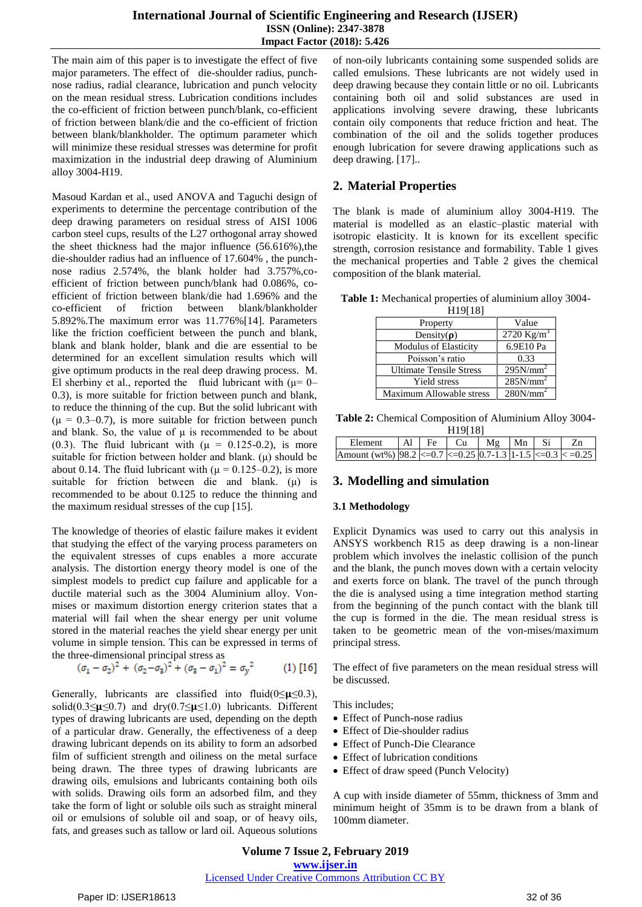The main aim of this paper is to investigate the effect of five major parameters. The effect of die-shoulder radius, punchnose radius, radial clearance, lubrication and punch velocity on the mean residual stress. Lubrication conditions includes the co-efficient of friction between punch/blank, co-efficient of friction between blank/die and the co-efficient of friction between blank/blankholder. The optimum parameter which will minimize these residual stresses was determine for profit maximization in the industrial deep drawing of Aluminium alloy 3004-H19.

Masoud Kardan et al., used ANOVA and Taguchi design of experiments to determine the percentage contribution of the deep drawing parameters on residual stress of AISI 1006 carbon steel cups, results of the L27 orthogonal array showed the sheet thickness had the major influence (56.616%),the die-shoulder radius had an influence of 17.604% , the punchnose radius 2.574%, the blank holder had 3.757%,coefficient of friction between punch/blank had 0.086%, coefficient of friction between blank/die had 1.696% and the co-efficient of friction between blank/blankholder 5.892%.The maximum error was 11.776%[14]. Parameters like the friction coefficient between the punch and blank, blank and blank holder, blank and die are essential to be determined for an excellent simulation results which will give optimum products in the real deep drawing process. M. El sherbiny et al., reported the fluid lubricant with  $(\mu = 0$ – 0.3), is more suitable for friction between punch and blank, to reduce the thinning of the cup. But the solid lubricant with  $(\mu = 0.3{\text -}0.7)$ , is more suitable for friction between punch and blank. So, the value of  $\mu$  is recommended to be about (0.3). The fluid lubricant with  $(\mu = 0.125 - 0.2)$ , is more suitable for friction between holder and blank.  $(\mu)$  should be about 0.14. The fluid lubricant with ( $\mu = 0.125 - 0.2$ ), is more suitable for friction between die and blank. (μ) is recommended to be about 0.125 to reduce the thinning and the maximum residual stresses of the cup [15].

The knowledge of theories of elastic failure makes it evident that studying the effect of the varying process parameters on the equivalent stresses of cups enables a more accurate analysis. The distortion energy theory model is one of the simplest models to predict cup failure and applicable for a ductile material such as the 3004 Aluminium alloy. Vonmises or maximum distortion energy criterion states that a material will fail when the shear energy per unit volume stored in the material reaches the yield shear energy per unit volume in simple tension. This can be expressed in terms of the three-dimensional principal stress as

$$
(\sigma_1 - \sigma_2)^2 + (\sigma_2 - \sigma_3)^2 + (\sigma_3 - \sigma_1)^2 = \sigma_y^2 \tag{1} [16]
$$

Generally, lubricants are classified into fluid( $0 \le \mu \le 0.3$ ), solid(0.3≤ $\mu$ ≤0.7) and dry(0.7≤ $\mu$ ≤1.0) lubricants. Different types of drawing lubricants are used, depending on the depth of a particular draw. Generally, the effectiveness of a deep drawing lubricant depends on its ability to form an adsorbed film of sufficient strength and oiliness on the metal surface being drawn. The three types of drawing lubricants are drawing oils, emulsions and lubricants containing both oils with solids. Drawing oils form an adsorbed film, and they take the form of light or soluble oils such as straight mineral oil or emulsions of soluble oil and soap, or of heavy oils, fats, and greases such as tallow or lard oil. Aqueous solutions

of non-oily lubricants containing some suspended solids are called emulsions. These lubricants are not widely used in deep drawing because they contain little or no oil. Lubricants containing both oil and solid substances are used in applications involving severe drawing, these lubricants contain oily components that reduce friction and heat. The combination of the oil and the solids together produces enough lubrication for severe drawing applications such as deep drawing. [17]..

# **2. Material Properties**

The blank is made of aluminium alloy 3004-H19. The material is modelled as an elastic–plastic material with isotropic elasticity. It is known for its excellent specific strength, corrosion resistance and formability. Table 1 gives the mechanical properties and Table 2 gives the chemical composition of the blank material.

| Table 1: Mechanical properties of aluminium alloy 3004- |                   |  |  |
|---------------------------------------------------------|-------------------|--|--|
|                                                         | <b>TTA OFA OT</b> |  |  |

| <b>미</b> 기1이                   |                      |
|--------------------------------|----------------------|
| Property                       | Value                |
| Density( $\rho$ )              | 2720 $Kg/m^3$        |
| Modulus of Elasticity          | 6.9E10 Pa            |
| Poisson's ratio                | 0.33                 |
| <b>Ultimate Tensile Stress</b> | 295N/mm <sup>2</sup> |
| <b>Yield stress</b>            | 285N/mm <sup>2</sup> |
| Maximum Allowable stress       | 280N/mm <sup>2</sup> |
|                                |                      |

**Table 2:** Chemical Composition of Aluminium Alloy 3004- H<sub>19[18]</sub>

| .                                                                         |  |  |  |                                           |  |  |  |  |  |
|---------------------------------------------------------------------------|--|--|--|-------------------------------------------|--|--|--|--|--|
| Element                                                                   |  |  |  | $ $ Al $ $ Fe $ $ Cu $ $ Mg $ $ Mn $ $ Si |  |  |  |  |  |
| Amount (wt%) $ 98.2  \le 0.7  \le 0.25 0.7-1.3 1-1.5  \le 0.3  \le 0.25 $ |  |  |  |                                           |  |  |  |  |  |

# **3. Modelling and simulation**

### **3.1 Methodology**

Explicit Dynamics was used to carry out this analysis in ANSYS workbench R15 as deep drawing is a non-linear problem which involves the inelastic collision of the punch and the blank, the punch moves down with a certain velocity and exerts force on blank. The travel of the punch through the die is analysed using a time integration method starting from the beginning of the punch contact with the blank till the cup is formed in the die. The mean residual stress is taken to be geometric mean of the von-mises/maximum principal stress.

The effect of five parameters on the mean residual stress will be discussed.

This includes;

- Effect of Punch-nose radius
- Effect of Die-shoulder radius
- Effect of Punch-Die Clearance
- Effect of lubrication conditions
- Effect of draw speed (Punch Velocity)

A cup with inside diameter of 55mm, thickness of 3mm and minimum height of 35mm is to be drawn from a blank of 100mm diameter.

#### **Volume 7 Issue 2, February 2019 www.ijser.in** Licensed Under Creative Commons Attribution CC BY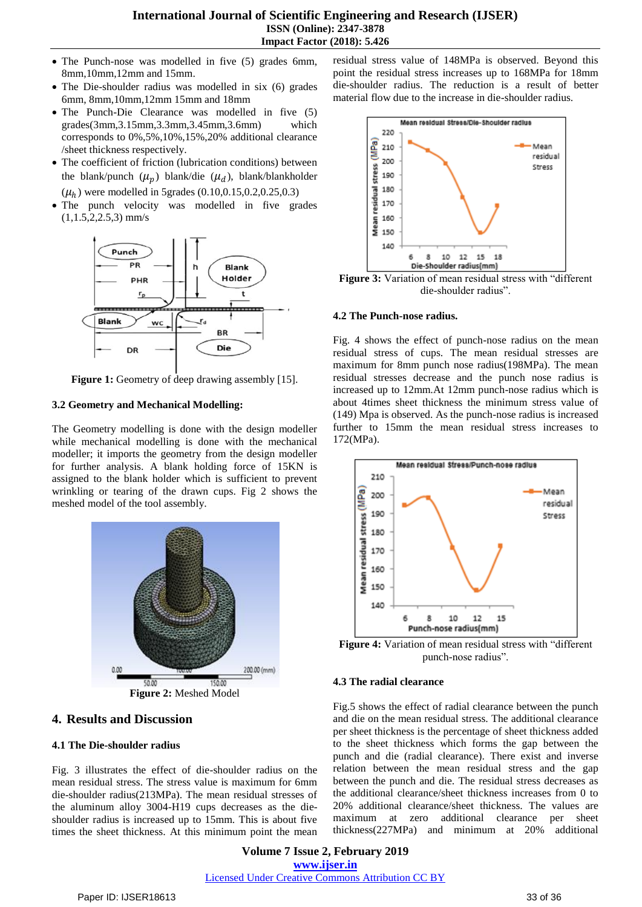#### **International Journal of Scientific Engineering and Research (IJSER) ISSN (Online): 2347-3878 Impact Factor (2018): 5.426**

- The Punch-nose was modelled in five (5) grades 6mm, 8mm,10mm,12mm and 15mm.
- The Die-shoulder radius was modelled in six (6) grades 6mm, 8mm,10mm,12mm 15mm and 18mm
- The Punch-Die Clearance was modelled in five (5) grades(3mm,3.15mm,3.3mm,3.45mm,3.6mm) which corresponds to 0%,5%,10%,15%,20% additional clearance /sheet thickness respectively.
- The coefficient of friction (lubrication conditions) between the blank/punch  $(\mu_p)$  blank/die  $(\mu_d)$ , blank/blankholder  $(\mu_h)$  were modelled in 5grades (0.10,0.15,0.2,0.25,0.3)
- The punch velocity was modelled in five grades  $(1,1.5,2,2.5,3)$  mm/s



**Figure 1:** Geometry of deep drawing assembly [15].

#### **3.2 Geometry and Mechanical Modelling:**

The Geometry modelling is done with the design modeller while mechanical modelling is done with the mechanical modeller; it imports the geometry from the design modeller for further analysis. A blank holding force of 15KN is assigned to the blank holder which is sufficient to prevent wrinkling or tearing of the drawn cups. Fig 2 shows the meshed model of the tool assembly.



### **4. Results and Discussion**

#### **4.1 The Die-shoulder radius**

Fig. 3 illustrates the effect of die-shoulder radius on the mean residual stress. The stress value is maximum for 6mm die-shoulder radius(213MPa). The mean residual stresses of the aluminum alloy 3004-H19 cups decreases as the dieshoulder radius is increased up to 15mm. This is about five times the sheet thickness. At this minimum point the mean residual stress value of 148MPa is observed. Beyond this point the residual stress increases up to 168MPa for 18mm die-shoulder radius. The reduction is a result of better material flow due to the increase in die-shoulder radius.



**Figure 3:** Variation of mean residual stress with "different die-shoulder radius".

#### **4.2 The Punch-nose radius.**

Fig. 4 shows the effect of punch-nose radius on the mean residual stress of cups. The mean residual stresses are maximum for 8mm punch nose radius(198MPa). The mean residual stresses decrease and the punch nose radius is increased up to 12mm.At 12mm punch-nose radius which is about 4times sheet thickness the minimum stress value of (149) Mpa is observed. As the punch-nose radius is increased further to 15mm the mean residual stress increases to 172(MPa).



**Figure 4:** Variation of mean residual stress with "different punch-nose radius".

#### **4.3 The radial clearance**

Fig.5 shows the effect of radial clearance between the punch and die on the mean residual stress. The additional clearance per sheet thickness is the percentage of sheet thickness added to the sheet thickness which forms the gap between the punch and die (radial clearance). There exist and inverse relation between the mean residual stress and the gap between the punch and die. The residual stress decreases as the additional clearance/sheet thickness increases from 0 to 20% additional clearance/sheet thickness. The values are maximum at zero additional clearance per sheet thickness(227MPa) and minimum at 20% additional

**Volume 7 Issue 2, February 2019 www.ijser.in** Licensed Under Creative Commons Attribution CC BY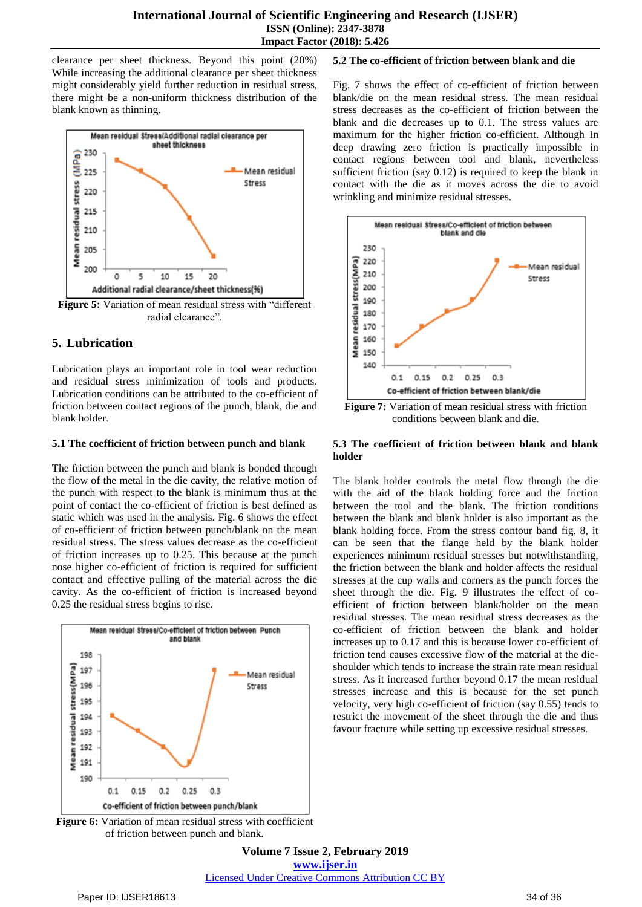clearance per sheet thickness. Beyond this point (20%) While increasing the additional clearance per sheet thickness might considerably yield further reduction in residual stress, there might be a non-uniform thickness distribution of the blank known as thinning.



radial clearance".

# **5. Lubrication**

Lubrication plays an important role in tool wear reduction and residual stress minimization of tools and products. Lubrication conditions can be attributed to the co-efficient of friction between contact regions of the punch, blank, die and blank holder.

#### **5.1 The coefficient of friction between punch and blank**

The friction between the punch and blank is bonded through the flow of the metal in the die cavity, the relative motion of the punch with respect to the blank is minimum thus at the point of contact the co-efficient of friction is best defined as static which was used in the analysis. Fig. 6 shows the effect of co-efficient of friction between punch/blank on the mean residual stress. The stress values decrease as the co-efficient of friction increases up to 0.25. This because at the punch nose higher co-efficient of friction is required for sufficient contact and effective pulling of the material across the die cavity. As the co-efficient of friction is increased beyond 0.25 the residual stress begins to rise.



**Figure 6:** Variation of mean residual stress with coefficient of friction between punch and blank.

**5.2 The co-efficient of friction between blank and die**

Fig. 7 shows the effect of co-efficient of friction between blank/die on the mean residual stress. The mean residual stress decreases as the co-efficient of friction between the blank and die decreases up to 0.1. The stress values are maximum for the higher friction co-efficient. Although In deep drawing zero friction is practically impossible in contact regions between tool and blank, nevertheless sufficient friction (say 0.12) is required to keep the blank in contact with the die as it moves across the die to avoid wrinkling and minimize residual stresses.



**Figure 7:** Variation of mean residual stress with friction conditions between blank and die.

#### **5.3 The coefficient of friction between blank and blank holder**

The blank holder controls the metal flow through the die with the aid of the blank holding force and the friction between the tool and the blank. The friction conditions between the blank and blank holder is also important as the blank holding force. From the stress contour band fig. 8, it can be seen that the flange held by the blank holder experiences minimum residual stresses but notwithstanding, the friction between the blank and holder affects the residual stresses at the cup walls and corners as the punch forces the sheet through the die. Fig. 9 illustrates the effect of coefficient of friction between blank/holder on the mean residual stresses. The mean residual stress decreases as the co-efficient of friction between the blank and holder increases up to 0.17 and this is because lower co-efficient of friction tend causes excessive flow of the material at the dieshoulder which tends to increase the strain rate mean residual stress. As it increased further beyond 0.17 the mean residual stresses increase and this is because for the set punch velocity, very high co-efficient of friction (say 0.55) tends to restrict the movement of the sheet through the die and thus favour fracture while setting up excessive residual stresses.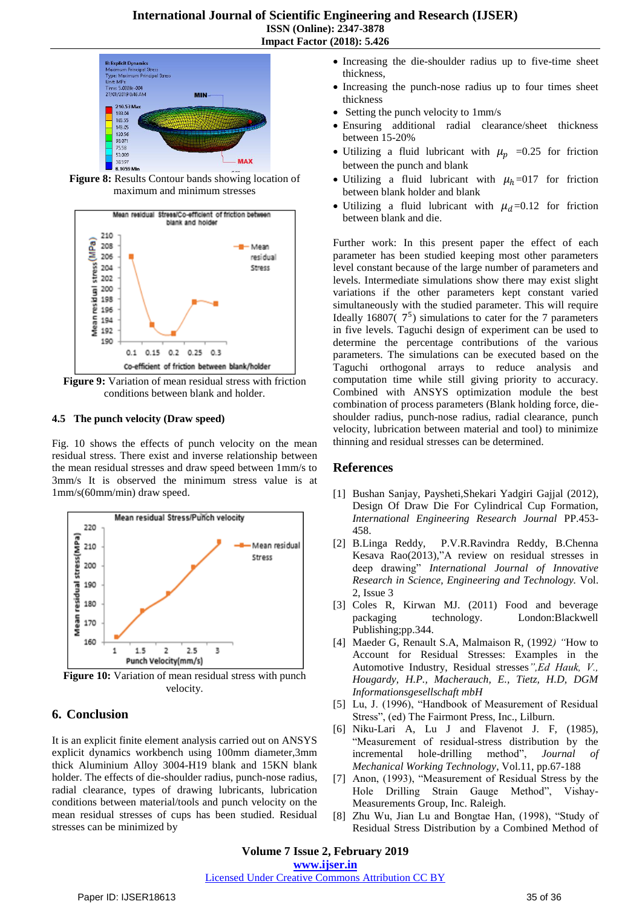

**Figure 8:** Results Contour bands showing location of maximum and minimum stresses



**Figure 9:** Variation of mean residual stress with friction conditions between blank and holder.

#### **4.5 The punch velocity (Draw speed)**

Fig. 10 shows the effects of punch velocity on the mean residual stress. There exist and inverse relationship between the mean residual stresses and draw speed between 1mm/s to 3mm/s It is observed the minimum stress value is at 1mm/s(60mm/min) draw speed.



**Figure 10:** Variation of mean residual stress with punch velocity.

## **6. Conclusion**

It is an explicit finite element analysis carried out on ANSYS explicit dynamics workbench using 100mm diameter,3mm thick Aluminium Alloy 3004-H19 blank and 15KN blank holder. The effects of die-shoulder radius, punch-nose radius, radial clearance, types of drawing lubricants, lubrication conditions between material/tools and punch velocity on the mean residual stresses of cups has been studied. Residual stresses can be minimized by

- Increasing the die-shoulder radius up to five-time sheet thickness,
- Increasing the punch-nose radius up to four times sheet thickness
- Setting the punch velocity to 1mm/s
- Ensuring additional radial clearance/sheet thickness between 15-20%
- Utilizing a fluid lubricant with  $\mu_p$  =0.25 for friction between the punch and blank
- Utilizing a fluid lubricant with  $\mu_h$ =017 for friction between blank holder and blank
- Utilizing a fluid lubricant with  $\mu_d$ =0.12 for friction between blank and die.

Further work: In this present paper the effect of each parameter has been studied keeping most other parameters level constant because of the large number of parameters and levels. Intermediate simulations show there may exist slight variations if the other parameters kept constant varied simultaneously with the studied parameter. This will require Ideally 16807( $7^5$ ) simulations to cater for the 7 parameters in five levels. Taguchi design of experiment can be used to determine the percentage contributions of the various parameters. The simulations can be executed based on the Taguchi orthogonal arrays to reduce analysis and computation time while still giving priority to accuracy. Combined with ANSYS optimization module the best combination of process parameters (Blank holding force, dieshoulder radius, punch-nose radius, radial clearance, punch velocity, lubrication between material and tool) to minimize thinning and residual stresses can be determined.

### **References**

- [1] Bushan Sanjay, Paysheti,Shekari Yadgiri Gajjal (2012), Design Of Draw Die For Cylindrical Cup Formation, *International Engineering Research Journal* PP.453- 458.
- [2] B.Linga Reddy, P.V.R.Ravindra Reddy, B.Chenna Kesava Rao(2013),"A review on residual stresses in deep drawing" *International Journal of Innovative Research in Science, Engineering and Technology.* Vol. 2, Issue 3
- [3] Coles R, Kirwan MJ. (2011) Food and beverage packaging technology. London:Blackwell Publishing;pp.344.
- [4] Maeder G, Renault S.A, Malmaison R, (1992*) "*How to Account for Residual Stresses: Examples in the Automotive Industry, Residual stresses*",Ed Hauk, V., Hougardy, H.P., Macherauch, E., Tietz, H.D, DGM Informationsgesellschaft mbH*
- [5] Lu, J. (1996), "Handbook of Measurement of Residual Stress", (ed) The Fairmont Press, Inc., Lilburn.
- [6] Niku-Lari A, Lu J and Flavenot J. F, (1985), "Measurement of residual-stress distribution by the incremental hole-drilling method", *Journal of Mechanical Working Technology*, Vol.11, pp.67-188
- [7] Anon, (1993), "Measurement of Residual Stress by the Hole Drilling Strain Gauge Method", Vishay-Measurements Group, Inc. Raleigh.
- [8] Zhu Wu, Jian Lu and Bongtae Han, (1998), "Study of Residual Stress Distribution by a Combined Method of